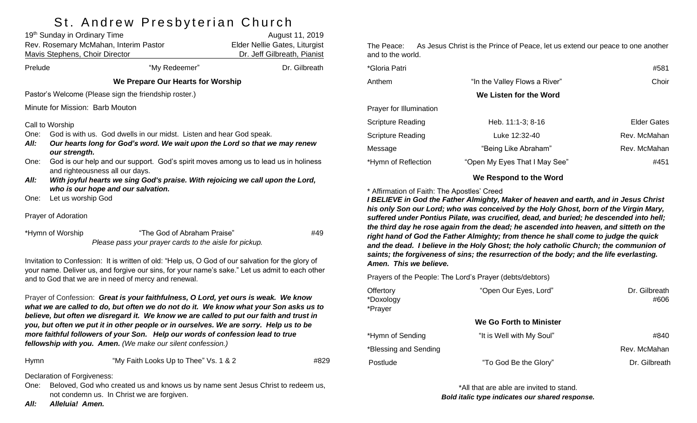# St Andrew Preshyterian Church

| 19th Sunday in Ordinary Time                                                                                                 |                                                                                     | ,<br>August 11, 2019          |  |  |
|------------------------------------------------------------------------------------------------------------------------------|-------------------------------------------------------------------------------------|-------------------------------|--|--|
| Rev. Rosemary McMahan, Interim Pastor                                                                                        |                                                                                     | Elder Nellie Gates, Liturgist |  |  |
| Mavis Stephens, Choir Director                                                                                               |                                                                                     | Dr. Jeff Gilbreath, Pianist   |  |  |
| Prelude                                                                                                                      | "My Redeemer"                                                                       | Dr. Gilbreath                 |  |  |
|                                                                                                                              | We Prepare Our Hearts for Worship                                                   |                               |  |  |
| Pastor's Welcome (Please sign the friendship roster.)                                                                        |                                                                                     |                               |  |  |
| Minute for Mission: Barb Mouton                                                                                              |                                                                                     |                               |  |  |
| Call to Worship                                                                                                              |                                                                                     |                               |  |  |
| One:                                                                                                                         | God is with us. God dwells in our midst. Listen and hear God speak.                 |                               |  |  |
| Our hearts long for God's word. We wait upon the Lord so that we may renew<br>All:                                           |                                                                                     |                               |  |  |
| our strength.                                                                                                                |                                                                                     |                               |  |  |
| One:                                                                                                                         | God is our help and our support. God's spirit moves among us to lead us in holiness |                               |  |  |
| and righteousness all our days.                                                                                              |                                                                                     |                               |  |  |
| With joyful hearts we sing God's praise. With rejoicing we call upon the Lord,<br>All:<br>who is our hope and our salvation. |                                                                                     |                               |  |  |
| Let us worship God<br>One:                                                                                                   |                                                                                     |                               |  |  |
|                                                                                                                              |                                                                                     |                               |  |  |
| Prayer of Adoration                                                                                                          |                                                                                     |                               |  |  |
| *Hymn of Worship                                                                                                             | "The God of Abraham Praise"                                                         | #49                           |  |  |
| Please pass your prayer cards to the aisle for pickup.                                                                       |                                                                                     |                               |  |  |
| Invitation to Confession: It is written of old: "Help us, O God of our salvation for the glory of                            |                                                                                     |                               |  |  |
| your name. Deliver us, and forgive our sins, for your name's sake." Let us admit to each other                               |                                                                                     |                               |  |  |
| and to God that we are in need of mercy and renewal.                                                                         |                                                                                     |                               |  |  |
| Prayer of Confession: Great is your faithfulness, O Lord, yet ours is weak. We know                                          |                                                                                     |                               |  |  |
| what we are called to do, but often we do not do it. We know what your Son asks us to                                        |                                                                                     |                               |  |  |

*believe, but often we disregard it. We know we are called to put our faith and trust in you, but often we put it in other people or in ourselves. We are sorry. Help us to be more faithful followers of your Son. Help our words of confession lead to true fellowship with you. Amen. (We make our silent confession.)*

| Hymn | "My Faith Looks Up to Thee" Vs. 1 & 2 | #829 |
|------|---------------------------------------|------|
|      |                                       |      |

Declaration of Forgiveness:

- One: Beloved, God who created us and knows us by name sent Jesus Christ to redeem us, not condemn us. In Christ we are forgiven.
- *All: Alleluia! Amen.*

The Peace: As Jesus Christ is the Prince of Peace, let us extend our peace to one another and to the world.

| *Gloria Patri            |                               | #581               |
|--------------------------|-------------------------------|--------------------|
| Anthem                   | "In the Valley Flows a River" | Choir              |
|                          | We Listen for the Word        |                    |
| Prayer for Illumination  |                               |                    |
| <b>Scripture Reading</b> | Heb. 11:1-3; 8-16             | <b>Elder Gates</b> |
| <b>Scripture Reading</b> | Luke 12:32-40                 | Rev. McMahan       |
| Message                  | "Being Like Abraham"          | Rev. McMahan       |
| *Hymn of Reflection      | "Open My Eyes That I May See" | #451               |
|                          |                               |                    |

#### **We Respond to the Word**

#### \* Affirmation of Faith: The Apostles' Creed

*I BELIEVE in God the Father Almighty, Maker of heaven and earth, and in Jesus Christ his only Son our Lord; who was conceived by the Holy Ghost, born of the Virgin Mary, suffered under Pontius Pilate, was crucified, dead, and buried; he descended into hell; the third day he rose again from the dead; he ascended into heaven, and sitteth on the right hand of God the Father Almighty; from thence he shall come to judge the quick and the dead. I believe in the Holy Ghost; the holy catholic Church; the communion of saints; the forgiveness of sins; the resurrection of the body; and the life everlasting. Amen. This we believe.*

Prayers of the People: The Lord's Prayer (debts/debtors)

| Offertory<br>*Doxology<br>*Prayer | "Open Our Eyes, Lord"          | Dr. Gilbreath<br>#606 |
|-----------------------------------|--------------------------------|-----------------------|
|                                   | <b>We Go Forth to Minister</b> |                       |
| *Hymn of Sending                  | "It is Well with My Soul"      | #840                  |
| *Blessing and Sending             |                                | Rev. McMahan          |
| Postlude                          | "To God Be the Glory"          | Dr. Gilbreath         |

\*All that are able are invited to stand. *Bold italic type indicates our shared response.*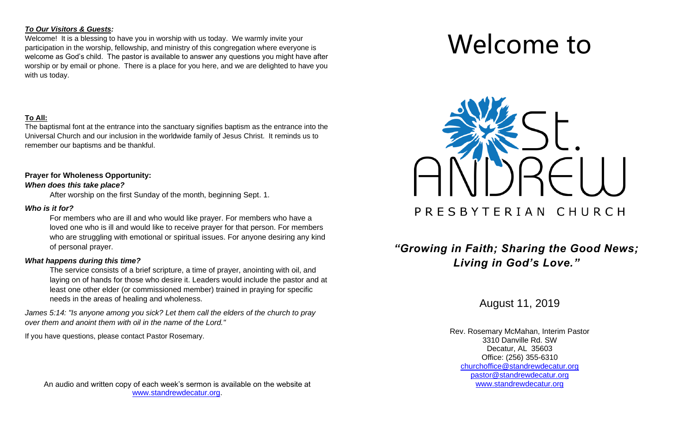#### *To Our Visitors & Guests:*

Welcome! It is a blessing to have you in worship with us today. We warmly invite your participation in the worship, fellowship, and ministry of this congregation where everyone is welcome as God's child. The pastor is available to answer any questions you might have after worship or by email or phone. There is a place for you here, and we are delighted to have you with us today.

#### **To All:**

The baptismal font at the entrance into the sanctuary signifies baptism as the entrance into the Universal Church and our inclusion in the worldwide family of Jesus Christ. It reminds us to remember our baptisms and be thankful.

#### **Prayer for Wholeness Opportunity:**

#### *When does this take place?*

After worship on the first Sunday of the month, beginning Sept. 1.

#### *Who is it for?*

For members who are ill and who would like prayer. For members who have a loved one who is ill and would like to receive prayer for that person. For members who are struggling with emotional or spiritual issues. For anyone desiring any kind of personal prayer.

#### *What happens during this time?*

The service consists of a brief scripture, a time of prayer, anointing with oil, and laying on of hands for those who desire it. Leaders would include the pastor and at least one other elder (or commissioned member) trained in praying for specific needs in the areas of healing and wholeness.

*James 5:14: "Is anyone among you sick? Let them call the elders of the church to pray over them and anoint them with oil in the name of the Lord."* 

If you have questions, please contact Pastor Rosemary.

An audio and written copy of each week's sermon is available on the website at [www.standrewdecatur.org.](http://www.standrewdecatur.org/)

# Welcome to



## *"Growing in Faith; Sharing the Good News; Living in God's Love."*

August 11, 2019

Rev. Rosemary McMahan, Interim Pastor 3310 Danville Rd. SW Decatur, AL 35603 Office: (256) 355-6310 [churchoffice@standrewdecatur.org](mailto:churchoffice@standrewdecatur.org) pastor@standrewdecatur.org [www.standrewdecatur.org](http://www.standrewdecatur.org/)